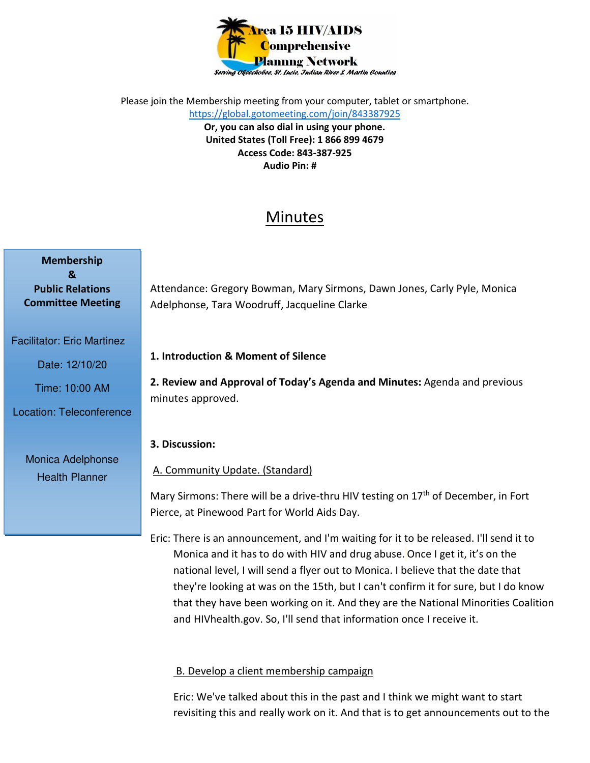

Please join the Membership meeting from your computer, tablet or smartphone. https://global.gotomeeting.com/join/843387925 **Or, you can also dial in using your phone. United States (Toll Free): 1 866 899 4679 Access Code: 843-387-925 Audio Pin: #** 

# Minutes

| <b>Membership</b>        |
|--------------------------|
| x.                       |
| <b>Public Relations</b>  |
| <b>Committee Meeting</b> |

Facilitator: Eric Martinez

Date: 12/10/20

Time: 10:00 AM

Location: Teleconference

Monica Adelphonse Health Planner

Attendance: Gregory Bowman, Mary Sirmons, Dawn Jones, Carly Pyle, Monica Adelphonse, Tara Woodruff, Jacqueline Clarke

## **1. Introduction & Moment of Silence**

**2. Review and Approval of Today's Agenda and Minutes:** Agenda and previous minutes approved.

## **3. Discussion:**

A. Community Update. (Standard)

Mary Sirmons: There will be a drive-thru HIV testing on 17<sup>th</sup> of December, in Fort Pierce, at Pinewood Part for World Aids Day.

Eric: There is an announcement, and I'm waiting for it to be released. I'll send it to Monica and it has to do with HIV and drug abuse. Once I get it, it's on the national level, I will send a flyer out to Monica. I believe that the date that they're looking at was on the 15th, but I can't confirm it for sure, but I do know that they have been working on it. And they are the National Minorities Coalition and HIVhealth.gov. So, I'll send that information once I receive it.

# B. Develop a client membership campaign

Eric: We've talked about this in the past and I think we might want to start revisiting this and really work on it. And that is to get announcements out to the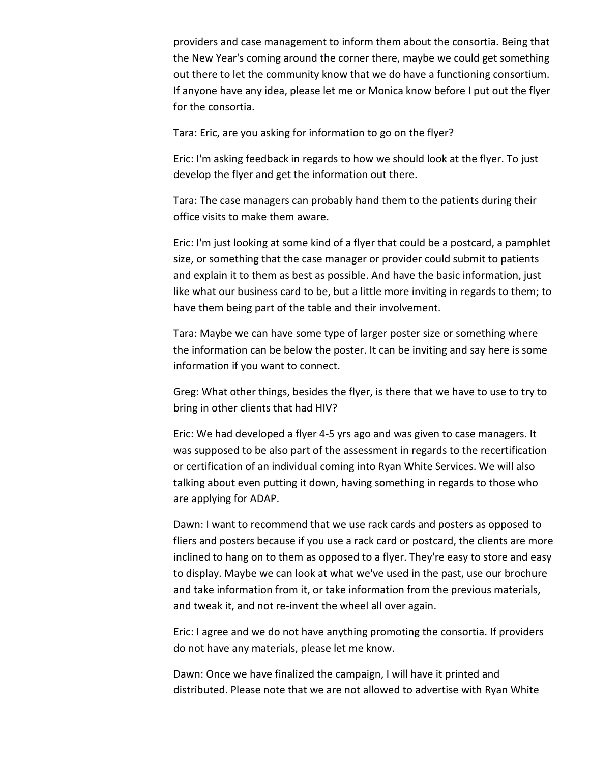providers and case management to inform them about the consortia. Being that the New Year's coming around the corner there, maybe we could get something out there to let the community know that we do have a functioning consortium. If anyone have any idea, please let me or Monica know before I put out the flyer for the consortia.

Tara: Eric, are you asking for information to go on the flyer?

Eric: I'm asking feedback in regards to how we should look at the flyer. To just develop the flyer and get the information out there.

Tara: The case managers can probably hand them to the patients during their office visits to make them aware.

Eric: I'm just looking at some kind of a flyer that could be a postcard, a pamphlet size, or something that the case manager or provider could submit to patients and explain it to them as best as possible. And have the basic information, just like what our business card to be, but a little more inviting in regards to them; to have them being part of the table and their involvement.

Tara: Maybe we can have some type of larger poster size or something where the information can be below the poster. It can be inviting and say here is some information if you want to connect.

Greg: What other things, besides the flyer, is there that we have to use to try to bring in other clients that had HIV?

Eric: We had developed a flyer 4-5 yrs ago and was given to case managers. It was supposed to be also part of the assessment in regards to the recertification or certification of an individual coming into Ryan White Services. We will also talking about even putting it down, having something in regards to those who are applying for ADAP.

Dawn: I want to recommend that we use rack cards and posters as opposed to fliers and posters because if you use a rack card or postcard, the clients are more inclined to hang on to them as opposed to a flyer. They're easy to store and easy to display. Maybe we can look at what we've used in the past, use our brochure and take information from it, or take information from the previous materials, and tweak it, and not re-invent the wheel all over again.

Eric: I agree and we do not have anything promoting the consortia. If providers do not have any materials, please let me know.

Dawn: Once we have finalized the campaign, I will have it printed and distributed. Please note that we are not allowed to advertise with Ryan White